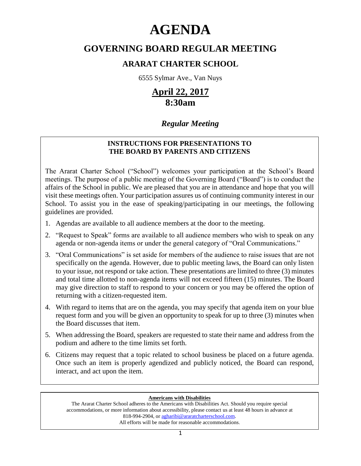# **AGENDA**

# **GOVERNING BOARD REGULAR MEETING**

## **ARARAT CHARTER SCHOOL**

6555 Sylmar Ave., Van Nuys

# **April 22, 2017 8:30am**

### *Regular Meeting*

### **INSTRUCTIONS FOR PRESENTATIONS TO THE BOARD BY PARENTS AND CITIZENS**

The Ararat Charter School ("School") welcomes your participation at the School's Board meetings. The purpose of a public meeting of the Governing Board ("Board") is to conduct the affairs of the School in public. We are pleased that you are in attendance and hope that you will visit these meetings often. Your participation assures us of continuing community interest in our School. To assist you in the ease of speaking/participating in our meetings, the following guidelines are provided.

- 1. Agendas are available to all audience members at the door to the meeting.
- 2. "Request to Speak" forms are available to all audience members who wish to speak on any agenda or non-agenda items or under the general category of "Oral Communications."
- 3. "Oral Communications" is set aside for members of the audience to raise issues that are not specifically on the agenda. However, due to public meeting laws, the Board can only listen to your issue, not respond or take action. These presentations are limited to three (3) minutes and total time allotted to non-agenda items will not exceed fifteen (15) minutes. The Board may give direction to staff to respond to your concern or you may be offered the option of returning with a citizen-requested item.
- 4. With regard to items that are on the agenda, you may specify that agenda item on your blue request form and you will be given an opportunity to speak for up to three (3) minutes when the Board discusses that item.
- 5. When addressing the Board, speakers are requested to state their name and address from the podium and adhere to the time limits set forth.
- 6. Citizens may request that a topic related to school business be placed on a future agenda. Once such an item is properly agendized and publicly noticed, the Board can respond, interact, and act upon the item.

### **Americans with Disabilities**

The Ararat Charter School adheres to the Americans with Disabilities Act. Should you require special accommodations, or more information about accessibility, please contact us at least 48 hours in advance at 818-994-2904, or agharibi@araratcharterschool.com. All efforts will be made for reasonable accommodations.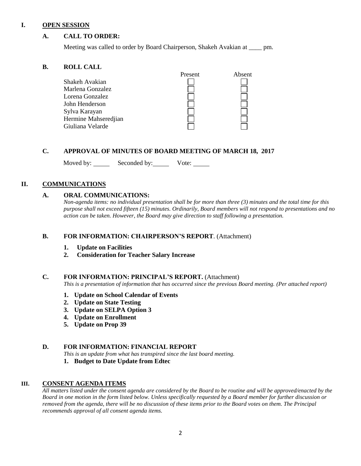#### **I. OPEN SESSION**

#### **A. CALL TO ORDER:**

Meeting was called to order by Board Chairperson, Shakeh Avakian at \_\_\_\_ pm.

#### **B. ROLL CALL**

|                      | Present | Absent |
|----------------------|---------|--------|
| Shakeh Avakian       |         |        |
| Marlena Gonzalez     |         |        |
| Lorena Gonzalez      |         |        |
| John Henderson       |         |        |
| Sylva Karayan        |         |        |
| Hermine Mahseredjian |         |        |
| Giuliana Velarde     |         |        |

#### **C. APPROVAL OF MINUTES OF BOARD MEETING OF MARCH 18, 2017**

Moved by: Seconded by: Vote: Vote:

#### **II. COMMUNICATIONS**

#### **A. ORAL COMMUNICATIONS:**

*Non-agenda items: no individual presentation shall be for more than three (3) minutes and the total time for this purpose shall not exceed fifteen (15) minutes. Ordinarily, Board members will not respond to presentations and no action can be taken. However, the Board may give direction to staff following a presentation.*

#### **B. FOR INFORMATION: CHAIRPERSON'S REPORT**. (Attachment)

- **1. Update on Facilities**
- **2. Consideration for Teacher Salary Increase**

#### **C. FOR INFORMATION: PRINCIPAL'S REPORT.** (Attachment)

*This is a presentation of information that has occurred since the previous Board meeting. (Per attached report)*

- **1. Update on School Calendar of Events**
- **2. Update on State Testing**
- **3. Update on SELPA Option 3**
- **4. Update on Enrollment**
- **5. Update on Prop 39**

#### **D. FOR INFORMATION: FINANCIAL REPORT**

*This is an update from what has transpired since the last board meeting.*

**1. Budget to Date Update from Edtec**

#### **III. CONSENT AGENDA ITEMS**

*All matters listed under the consent agenda are considered by the Board to be routine and will be approved/enacted by the Board in one motion in the form listed below. Unless specifically requested by a Board member for further discussion or removed from the agenda, there will be no discussion of these items prior to the Board votes on them. The Principal recommends approval of all consent agenda items.*